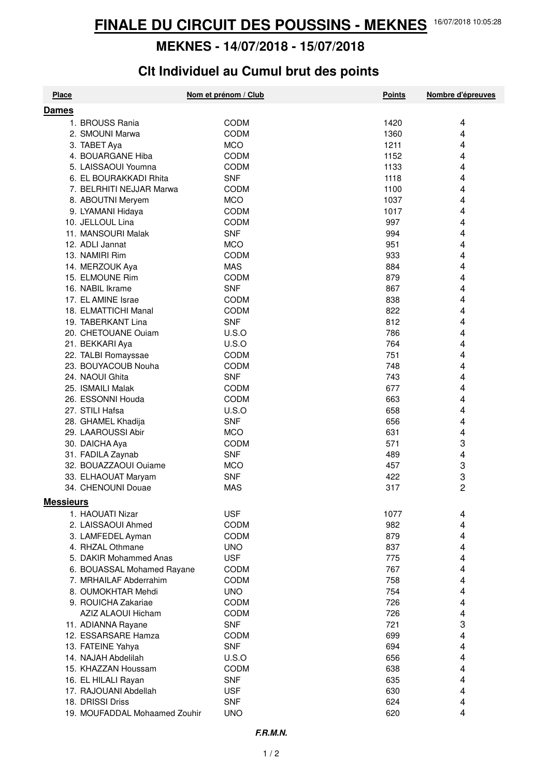## **MEKNES - 14/07/2018 - 15/07/2018**

## **Clt Individuel au Cumul brut des points**

| <b>Place</b>                           | Nom et prénom / Club | <b>Points</b> | Nombre d'épreuves |
|----------------------------------------|----------------------|---------------|-------------------|
| <b>Dames</b>                           |                      |               |                   |
| 1. BROUSS Rania                        | CODM                 | 1420          | 4                 |
| 2. SMOUNI Marwa                        | CODM                 | 1360          | 4                 |
| 3. TABET Aya                           | <b>MCO</b>           | 1211          | 4                 |
| 4. BOUARGANE Hiba                      | <b>CODM</b>          | 1152          | 4                 |
| 5. LAISSAOUI Youmna                    | CODM                 | 1133          | 4                 |
| 6. EL BOURAKKADI Rhita                 | <b>SNF</b>           | 1118          | 4                 |
| 7. BELRHITI NEJJAR Marwa               | <b>CODM</b>          | 1100          | 4                 |
|                                        | <b>MCO</b>           |               | 4                 |
| 8. ABOUTNI Meryem                      |                      | 1037          |                   |
| 9. LYAMANI Hidaya                      | <b>CODM</b>          | 1017          | 4                 |
| 10. JELLOUL Lina                       | CODM                 | 997           | 4                 |
| 11. MANSOURI Malak                     | <b>SNF</b>           | 994           | 4                 |
| 12. ADLI Jannat                        | <b>MCO</b>           | 951           | 4                 |
| 13. NAMIRI Rim                         | <b>CODM</b>          | 933           | 4                 |
| 14. MERZOUK Aya                        | <b>MAS</b>           | 884           | 4                 |
| 15. ELMOUNE Rim                        | <b>CODM</b>          | 879           | 4                 |
| 16. NABIL Ikrame                       | <b>SNF</b>           | 867           | 4                 |
| 17. EL AMINE Israe                     | <b>CODM</b>          | 838           | 4                 |
| 18. ELMATTICHI Manal                   | CODM                 | 822           | 4                 |
| 19. TABERKANT Lina                     | <b>SNF</b>           | 812           | 4                 |
| 20. CHETOUANE Ouiam                    | U.S.O                | 786           | 4                 |
| 21. BEKKARI Aya                        | U.S.O                | 764           | 4                 |
| 22. TALBI Romayssae                    | CODM                 | 751           | 4                 |
| 23. BOUYACOUB Nouha                    | CODM                 | 748           | 4                 |
| 24. NAOUI Ghita                        | <b>SNF</b>           | 743           | 4                 |
| 25. ISMAILI Malak                      | <b>CODM</b>          | 677           | 4                 |
| 26. ESSONNI Houda                      | CODM                 | 663           | 4                 |
| 27. STILI Hafsa                        | U.S.O                | 658           | 4                 |
| 28. GHAMEL Khadija                     | <b>SNF</b>           | 656           | 4                 |
| 29. LAAROUSSI Abir                     | <b>MCO</b>           | 631           | 4                 |
| 30. DAICHA Aya                         | <b>CODM</b>          | 571           | 3                 |
| 31. FADILA Zaynab                      | <b>SNF</b>           | 489           | 4                 |
| 32. BOUAZZAOUI Ouiame                  | <b>MCO</b>           | 457           | 3                 |
| 33. ELHAOUAT Maryam                    | <b>SNF</b>           | 422           | 3                 |
| 34. CHENOUNI Douae                     | <b>MAS</b>           | 317           | 2                 |
| <b>Messieurs</b>                       |                      |               |                   |
|                                        |                      |               |                   |
| 1. HAOUATI Nizar<br>2. LAISSAOUI Ahmed | <b>USF</b>           | 1077          | 4                 |
|                                        | <b>CODM</b>          | 982           | 4                 |
| 3. LAMFEDEL Ayman                      | <b>CODM</b>          | 879           | 4                 |
| 4. RHZAL Othmane                       | <b>UNO</b>           | 837           | 4                 |
| 5. DAKIR Mohammed Anas                 | <b>USF</b>           | 775           | 4                 |
| 6. BOUASSAL Mohamed Rayane             | <b>CODM</b>          | 767           | 4                 |
| 7. MRHAILAF Abderrahim                 | <b>CODM</b>          | 758           | 4                 |
| 8. OUMOKHTAR Mehdi                     | <b>UNO</b>           | 754           | 4                 |
| 9. ROUICHA Zakariae                    | <b>CODM</b>          | 726           | 4                 |
| AZIZ ALAOUI Hicham                     | <b>CODM</b>          | 726           | 4                 |
| 11. ADIANNA Rayane                     | <b>SNF</b>           | 721           | 3                 |
| 12. ESSARSARE Hamza                    | <b>CODM</b>          | 699           | 4                 |
| 13. FATEINE Yahya                      | <b>SNF</b>           | 694           | 4                 |
| 14. NAJAH Abdelilah                    | U.S.O                | 656           | 4                 |
| 15. KHAZZAN Houssam                    | <b>CODM</b>          | 638           | 4                 |
| 16. EL HILALI Rayan                    | <b>SNF</b>           | 635           | 4                 |
| 17. RAJOUANI Abdellah                  | <b>USF</b>           | 630           | 4                 |
| 18. DRISSI Driss                       | <b>SNF</b>           | 624           | 4                 |
| 19. MOUFADDAL Mohaamed Zouhir          | <b>UNO</b>           | 620           | 4                 |